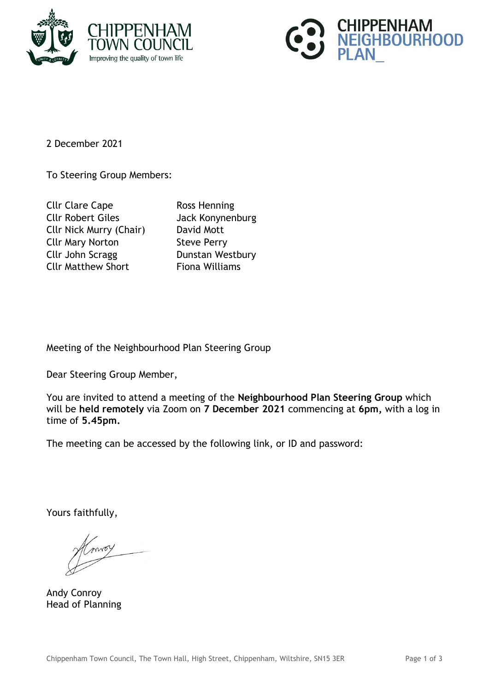



2 December 2021

To Steering Group Members:

| <b>Cllr Clare Cape</b>         |
|--------------------------------|
| <b>Cllr Robert Giles</b>       |
| <b>Cllr Nick Murry (Chair)</b> |
| <b>Cllr Mary Norton</b>        |
| Cllr John Scragg               |
| <b>Cllr Matthew Short</b>      |

Ross Henning Jack Konynenburg David Mott **Steve Perry** Dunstan Westbury Fiona Williams

Meeting of the Neighbourhood Plan Steering Group

Dear Steering Group Member,

You are invited to attend a meeting of the **Neighbourhood Plan Steering Group** which will be **held remotely** via Zoom on **7 December 2021** commencing at **6pm,** with a log in time of **5.45pm.**

The meeting can be accessed by the following link, or ID and password:

Yours faithfully,

Andy Conroy Head of Planning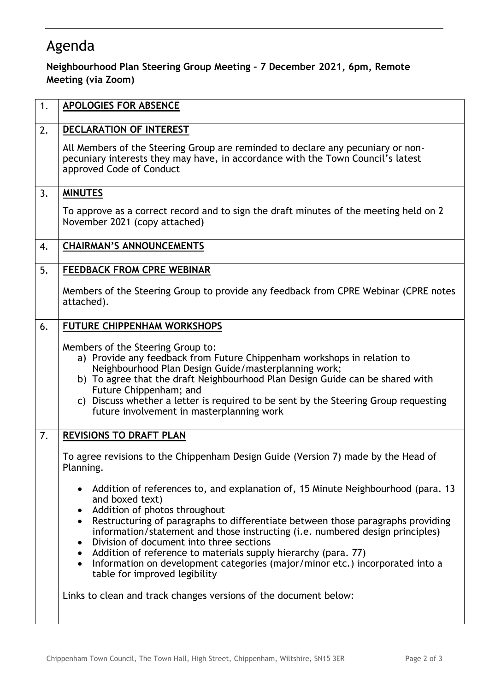## Agenda

## **Neighbourhood Plan Steering Group Meeting – 7 December 2021, 6pm, Remote Meeting (via Zoom)**

| 1. | <b>APOLOGIES FOR ABSENCE</b>                                                                                                                                                                                                                                                                                                                                                                                                                                                                                                                                                                                |
|----|-------------------------------------------------------------------------------------------------------------------------------------------------------------------------------------------------------------------------------------------------------------------------------------------------------------------------------------------------------------------------------------------------------------------------------------------------------------------------------------------------------------------------------------------------------------------------------------------------------------|
| 2. | DECLARATION OF INTEREST                                                                                                                                                                                                                                                                                                                                                                                                                                                                                                                                                                                     |
|    | All Members of the Steering Group are reminded to declare any pecuniary or non-<br>pecuniary interests they may have, in accordance with the Town Council's latest<br>approved Code of Conduct                                                                                                                                                                                                                                                                                                                                                                                                              |
| 3. | <b>MINUTES</b>                                                                                                                                                                                                                                                                                                                                                                                                                                                                                                                                                                                              |
|    | To approve as a correct record and to sign the draft minutes of the meeting held on 2<br>November 2021 (copy attached)                                                                                                                                                                                                                                                                                                                                                                                                                                                                                      |
| 4. | <b>CHAIRMAN'S ANNOUNCEMENTS</b>                                                                                                                                                                                                                                                                                                                                                                                                                                                                                                                                                                             |
| 5. | <b>FEEDBACK FROM CPRE WEBINAR</b>                                                                                                                                                                                                                                                                                                                                                                                                                                                                                                                                                                           |
|    | Members of the Steering Group to provide any feedback from CPRE Webinar (CPRE notes<br>attached).                                                                                                                                                                                                                                                                                                                                                                                                                                                                                                           |
| 6. | <b>FUTURE CHIPPENHAM WORKSHOPS</b>                                                                                                                                                                                                                                                                                                                                                                                                                                                                                                                                                                          |
|    | Members of the Steering Group to:<br>a) Provide any feedback from Future Chippenham workshops in relation to<br>Neighbourhood Plan Design Guide/masterplanning work;<br>b) To agree that the draft Neighbourhood Plan Design Guide can be shared with<br>Future Chippenham; and<br>c) Discuss whether a letter is required to be sent by the Steering Group requesting<br>future involvement in masterplanning work                                                                                                                                                                                         |
| 7. | <b>REVISIONS TO DRAFT PLAN</b>                                                                                                                                                                                                                                                                                                                                                                                                                                                                                                                                                                              |
|    | To agree revisions to the Chippenham Design Guide (Version 7) made by the Head of<br>Planning.                                                                                                                                                                                                                                                                                                                                                                                                                                                                                                              |
|    | Addition of references to, and explanation of, 15 Minute Neighbourhood (para. 13<br>and boxed text)<br>Addition of photos throughout<br>Restructuring of paragraphs to differentiate between those paragraphs providing<br>information/statement and those instructing (i.e. numbered design principles)<br>Division of document into three sections<br>Addition of reference to materials supply hierarchy (para. 77)<br>Information on development categories (major/minor etc.) incorporated into a<br>table for improved legibility<br>Links to clean and track changes versions of the document below: |
|    |                                                                                                                                                                                                                                                                                                                                                                                                                                                                                                                                                                                                             |